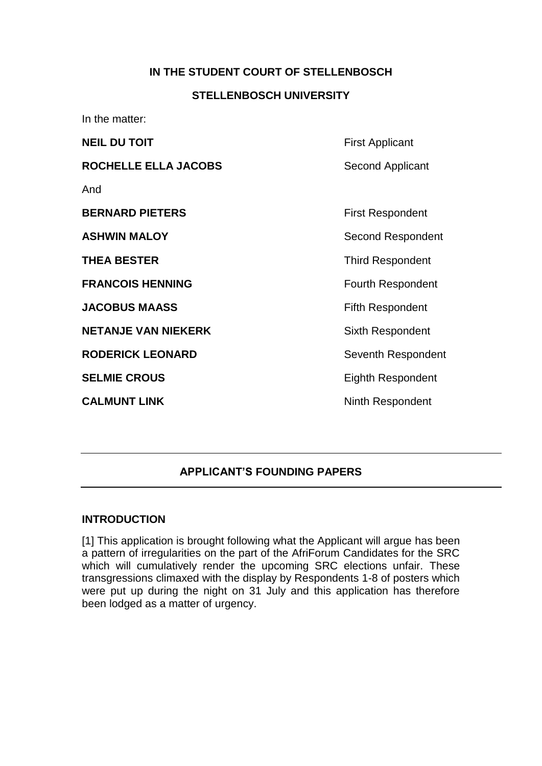#### **IN THE STUDENT COURT OF STELLENBOSCH**

#### **STELLENBOSCH UNIVERSITY**

In the matter: **NEIL DU TOIT** First Applicant **ROCHELLE ELLA JACOBS** Second Applicant And **BERNARD PIETERS** First Respondent **ASHWIN MALOY** Second Respondent **THEA BESTER** THEA **BESTER** Third Respondent **FRANCOIS HENNING** FRANCOIS **JACOBUS MAASS** Fifth Respondent **NETANJE VAN NIEKERK** Sixth Respondent **RODERICK LEONARD** Seventh Respondent **SELMIE CROUS** Eighth Respondent **CALMUNT LINK** Ninth Respondent

#### **APPLICANT'S FOUNDING PAPERS**

#### **INTRODUCTION**

[1] This application is brought following what the Applicant will argue has been a pattern of irregularities on the part of the AfriForum Candidates for the SRC which will cumulatively render the upcoming SRC elections unfair. These transgressions climaxed with the display by Respondents 1-8 of posters which were put up during the night on 31 July and this application has therefore been lodged as a matter of urgency.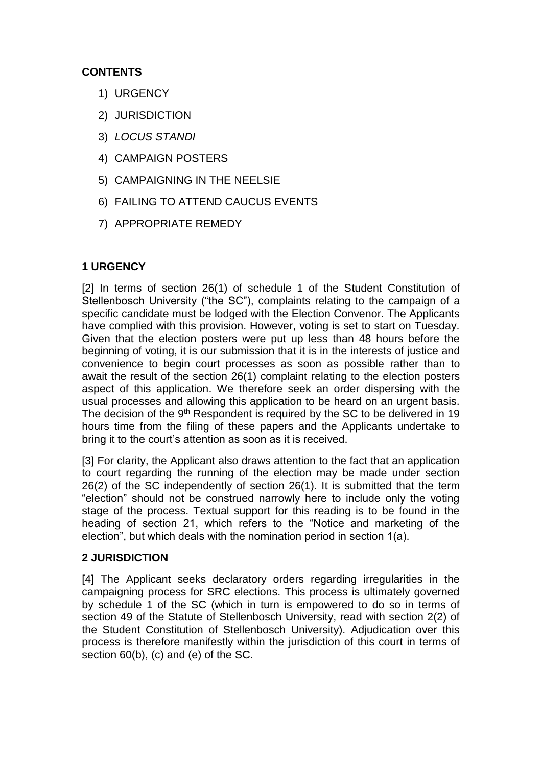# **CONTENTS**

- 1) URGENCY
- 2) JURISDICTION
- 3) *LOCUS STANDI*
- 4) CAMPAIGN POSTERS
- 5) CAMPAIGNING IN THE NEELSIE
- 6) FAILING TO ATTEND CAUCUS EVENTS
- 7) APPROPRIATE REMEDY

## **1 URGENCY**

[2] In terms of section 26(1) of schedule 1 of the Student Constitution of Stellenbosch University ("the SC"), complaints relating to the campaign of a specific candidate must be lodged with the Election Convenor. The Applicants have complied with this provision. However, voting is set to start on Tuesday. Given that the election posters were put up less than 48 hours before the beginning of voting, it is our submission that it is in the interests of justice and convenience to begin court processes as soon as possible rather than to await the result of the section 26(1) complaint relating to the election posters aspect of this application. We therefore seek an order dispersing with the usual processes and allowing this application to be heard on an urgent basis. The decision of the 9<sup>th</sup> Respondent is required by the SC to be delivered in 19 hours time from the filing of these papers and the Applicants undertake to bring it to the court's attention as soon as it is received.

[3] For clarity, the Applicant also draws attention to the fact that an application to court regarding the running of the election may be made under section 26(2) of the SC independently of section 26(1). It is submitted that the term "election" should not be construed narrowly here to include only the voting stage of the process. Textual support for this reading is to be found in the heading of section 21, which refers to the "Notice and marketing of the election", but which deals with the nomination period in section 1(a).

## **2 JURISDICTION**

[4] The Applicant seeks declaratory orders regarding irregularities in the campaigning process for SRC elections. This process is ultimately governed by schedule 1 of the SC (which in turn is empowered to do so in terms of section 49 of the Statute of Stellenbosch University, read with section 2(2) of the Student Constitution of Stellenbosch University). Adjudication over this process is therefore manifestly within the jurisdiction of this court in terms of section 60(b), (c) and (e) of the SC.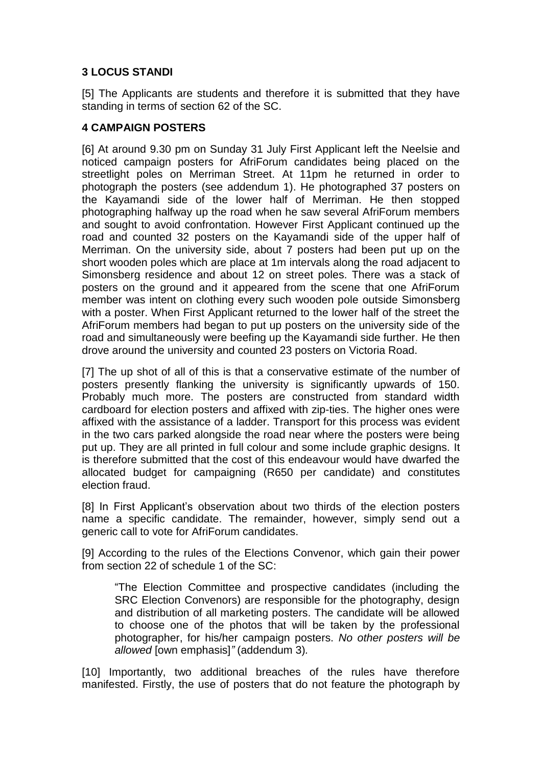## **3 LOCUS STANDI**

[5] The Applicants are students and therefore it is submitted that they have standing in terms of section 62 of the SC.

## **4 CAMPAIGN POSTERS**

[6] At around 9.30 pm on Sunday 31 July First Applicant left the Neelsie and noticed campaign posters for AfriForum candidates being placed on the streetlight poles on Merriman Street. At 11pm he returned in order to photograph the posters (see addendum 1). He photographed 37 posters on the Kayamandi side of the lower half of Merriman. He then stopped photographing halfway up the road when he saw several AfriForum members and sought to avoid confrontation. However First Applicant continued up the road and counted 32 posters on the Kayamandi side of the upper half of Merriman. On the university side, about 7 posters had been put up on the short wooden poles which are place at 1m intervals along the road adjacent to Simonsberg residence and about 12 on street poles. There was a stack of posters on the ground and it appeared from the scene that one AfriForum member was intent on clothing every such wooden pole outside Simonsberg with a poster. When First Applicant returned to the lower half of the street the AfriForum members had began to put up posters on the university side of the road and simultaneously were beefing up the Kayamandi side further. He then drove around the university and counted 23 posters on Victoria Road.

[7] The up shot of all of this is that a conservative estimate of the number of posters presently flanking the university is significantly upwards of 150. Probably much more. The posters are constructed from standard width cardboard for election posters and affixed with zip-ties. The higher ones were affixed with the assistance of a ladder. Transport for this process was evident in the two cars parked alongside the road near where the posters were being put up. They are all printed in full colour and some include graphic designs. It is therefore submitted that the cost of this endeavour would have dwarfed the allocated budget for campaigning (R650 per candidate) and constitutes election fraud.

[8] In First Applicant's observation about two thirds of the election posters name a specific candidate. The remainder, however, simply send out a generic call to vote for AfriForum candidates.

[9] According to the rules of the Elections Convenor, which gain their power from section 22 of schedule 1 of the SC:

"The Election Committee and prospective candidates (including the SRC Election Convenors) are responsible for the photography, design and distribution of all marketing posters. The candidate will be allowed to choose one of the photos that will be taken by the professional photographer, for his/her campaign posters. *No other posters will be allowed* [own emphasis]*"* (addendum 3)*.*

[10] Importantly, two additional breaches of the rules have therefore manifested. Firstly, the use of posters that do not feature the photograph by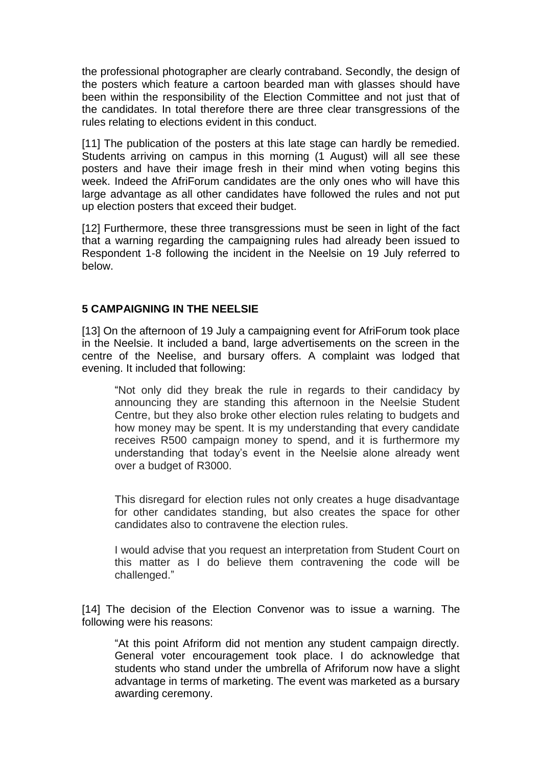the professional photographer are clearly contraband. Secondly, the design of the posters which feature a cartoon bearded man with glasses should have been within the responsibility of the Election Committee and not just that of the candidates. In total therefore there are three clear transgressions of the rules relating to elections evident in this conduct.

[11] The publication of the posters at this late stage can hardly be remedied. Students arriving on campus in this morning (1 August) will all see these posters and have their image fresh in their mind when voting begins this week. Indeed the AfriForum candidates are the only ones who will have this large advantage as all other candidates have followed the rules and not put up election posters that exceed their budget.

[12] Furthermore, these three transgressions must be seen in light of the fact that a warning regarding the campaigning rules had already been issued to Respondent 1-8 following the incident in the Neelsie on 19 July referred to below.

#### **5 CAMPAIGNING IN THE NEELSIE**

[13] On the afternoon of 19 July a campaigning event for AfriForum took place in the Neelsie. It included a band, large advertisements on the screen in the centre of the Neelise, and bursary offers. A complaint was lodged that evening. It included that following:

"Not only did they break the rule in regards to their candidacy by announcing they are standing this afternoon in the Neelsie Student Centre, but they also broke other election rules relating to budgets and how money may be spent. It is my understanding that every candidate receives R500 campaign money to spend, and it is furthermore my understanding that today's event in the Neelsie alone already went over a budget of R3000.

This disregard for election rules not only creates a huge disadvantage for other candidates standing, but also creates the space for other candidates also to contravene the election rules.

I would advise that you request an interpretation from Student Court on this matter as I do believe them contravening the code will be challenged."

[14] The decision of the Election Convenor was to issue a warning. The following were his reasons:

"At this point Afriform did not mention any student campaign directly. General voter encouragement took place. I do acknowledge that students who stand under the umbrella of Afriforum now have a slight advantage in terms of marketing. The event was marketed as a bursary awarding ceremony.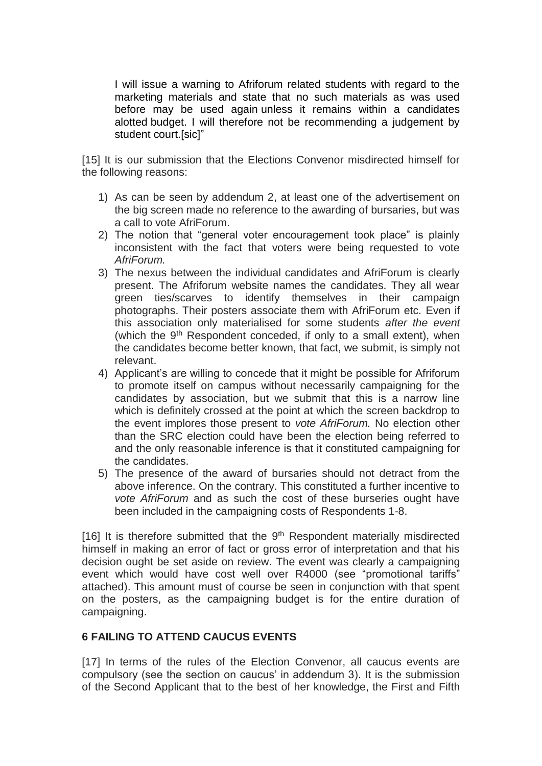I will issue a warning to Afriforum related students with regard to the marketing materials and state that no such materials as was used before may be used again unless it remains within a candidates alotted budget. I will therefore not be recommending a judgement by student court.[sic]"

[15] It is our submission that the Elections Convenor misdirected himself for the following reasons:

- 1) As can be seen by addendum 2, at least one of the advertisement on the big screen made no reference to the awarding of bursaries, but was a call to vote AfriForum.
- 2) The notion that "general voter encouragement took place" is plainly inconsistent with the fact that voters were being requested to vote *AfriForum.*
- 3) The nexus between the individual candidates and AfriForum is clearly present. The Afriforum website names the candidates. They all wear green ties/scarves to identify themselves in their campaign photographs. Their posters associate them with AfriForum etc. Even if this association only materialised for some students *after the event* (which the  $9<sup>th</sup>$  Respondent conceded, if only to a small extent), when the candidates become better known, that fact, we submit, is simply not relevant.
- 4) Applicant's are willing to concede that it might be possible for Afriforum to promote itself on campus without necessarily campaigning for the candidates by association, but we submit that this is a narrow line which is definitely crossed at the point at which the screen backdrop to the event implores those present to *vote AfriForum.* No election other than the SRC election could have been the election being referred to and the only reasonable inference is that it constituted campaigning for the candidates.
- 5) The presence of the award of bursaries should not detract from the above inference. On the contrary. This constituted a further incentive to *vote AfriForum* and as such the cost of these burseries ought have been included in the campaigning costs of Respondents 1-8.

[16] It is therefore submitted that the  $9<sup>th</sup>$  Respondent materially misdirected himself in making an error of fact or gross error of interpretation and that his decision ought be set aside on review. The event was clearly a campaigning event which would have cost well over R4000 (see "promotional tariffs" attached). This amount must of course be seen in conjunction with that spent on the posters, as the campaigning budget is for the entire duration of campaigning.

#### **6 FAILING TO ATTEND CAUCUS EVENTS**

[17] In terms of the rules of the Election Convenor, all caucus events are compulsory (see the section on caucus' in addendum 3). It is the submission of the Second Applicant that to the best of her knowledge, the First and Fifth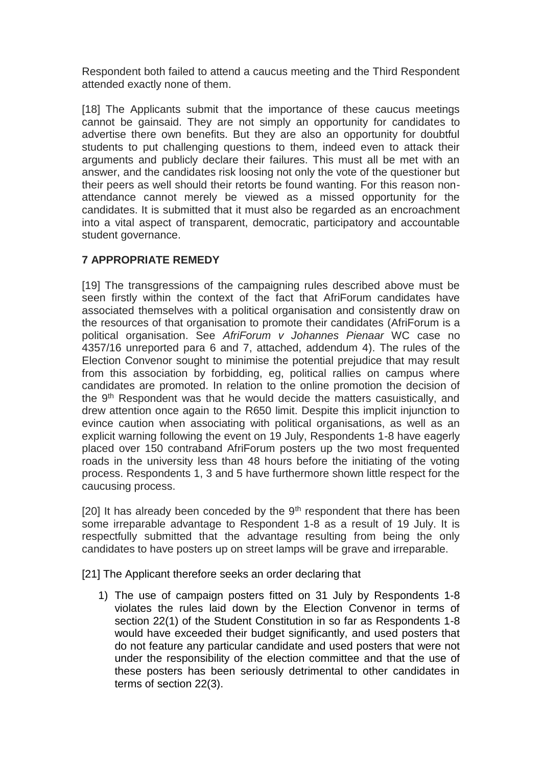Respondent both failed to attend a caucus meeting and the Third Respondent attended exactly none of them.

[18] The Applicants submit that the importance of these caucus meetings cannot be gainsaid. They are not simply an opportunity for candidates to advertise there own benefits. But they are also an opportunity for doubtful students to put challenging questions to them, indeed even to attack their arguments and publicly declare their failures. This must all be met with an answer, and the candidates risk loosing not only the vote of the questioner but their peers as well should their retorts be found wanting. For this reason nonattendance cannot merely be viewed as a missed opportunity for the candidates. It is submitted that it must also be regarded as an encroachment into a vital aspect of transparent, democratic, participatory and accountable student governance.

## **7 APPROPRIATE REMEDY**

[19] The transgressions of the campaigning rules described above must be seen firstly within the context of the fact that AfriForum candidates have associated themselves with a political organisation and consistently draw on the resources of that organisation to promote their candidates (AfriForum is a political organisation. See *AfriForum v Johannes Pienaar* WC case no 4357/16 unreported para 6 and 7, attached, addendum 4). The rules of the Election Convenor sought to minimise the potential prejudice that may result from this association by forbidding, eg, political rallies on campus where candidates are promoted. In relation to the online promotion the decision of the 9<sup>th</sup> Respondent was that he would decide the matters casuistically, and drew attention once again to the R650 limit. Despite this implicit injunction to evince caution when associating with political organisations, as well as an explicit warning following the event on 19 July, Respondents 1-8 have eagerly placed over 150 contraband AfriForum posters up the two most frequented roads in the university less than 48 hours before the initiating of the voting process. Respondents 1, 3 and 5 have furthermore shown little respect for the caucusing process.

[20] It has already been conceded by the  $9<sup>th</sup>$  respondent that there has been some irreparable advantage to Respondent 1-8 as a result of 19 July. It is respectfully submitted that the advantage resulting from being the only candidates to have posters up on street lamps will be grave and irreparable.

[21] The Applicant therefore seeks an order declaring that

1) The use of campaign posters fitted on 31 July by Respondents 1-8 violates the rules laid down by the Election Convenor in terms of section 22(1) of the Student Constitution in so far as Respondents 1-8 would have exceeded their budget significantly, and used posters that do not feature any particular candidate and used posters that were not under the responsibility of the election committee and that the use of these posters has been seriously detrimental to other candidates in terms of section 22(3).